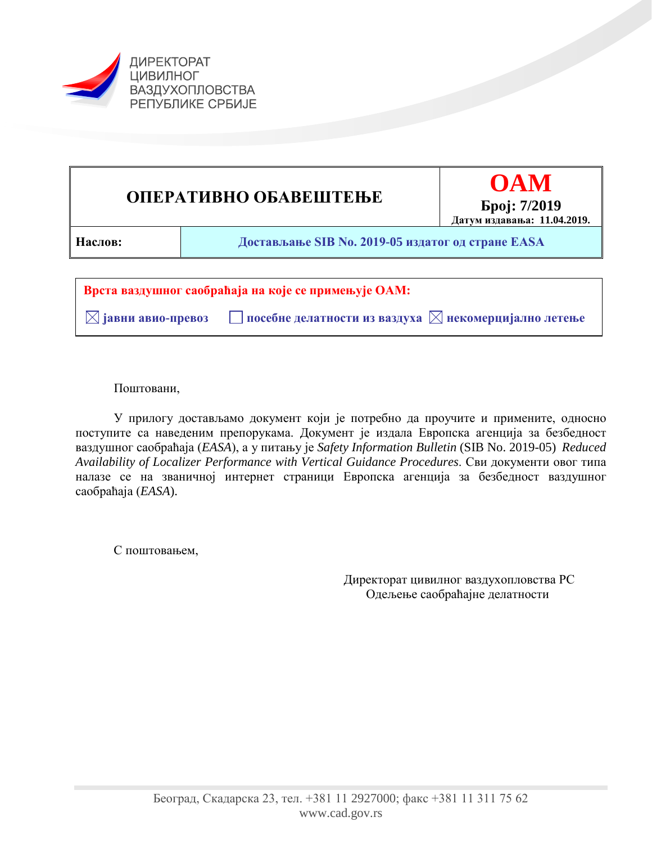



Поштовани,

У прилогу достављамо документ који је потребно да проучите и примените, односно поступите са наведеним препорукама. Документ је издала Европска агенција за безбедност ваздушног саобраћаја (*EASA*), а у питању је *Safety Information Bulletin* (SIB No. 2019-05) *Reduced Availability of Localizer Performance with Vertical Guidance Procedures*. Сви документи овог типа налазе се на званичној интернет страници Европска агенција за безбедност ваздушног саобраћаја (*EASA*).

С поштовањем,

Директорат цивилног ваздухопловства РС Одељење саобраћајне делатности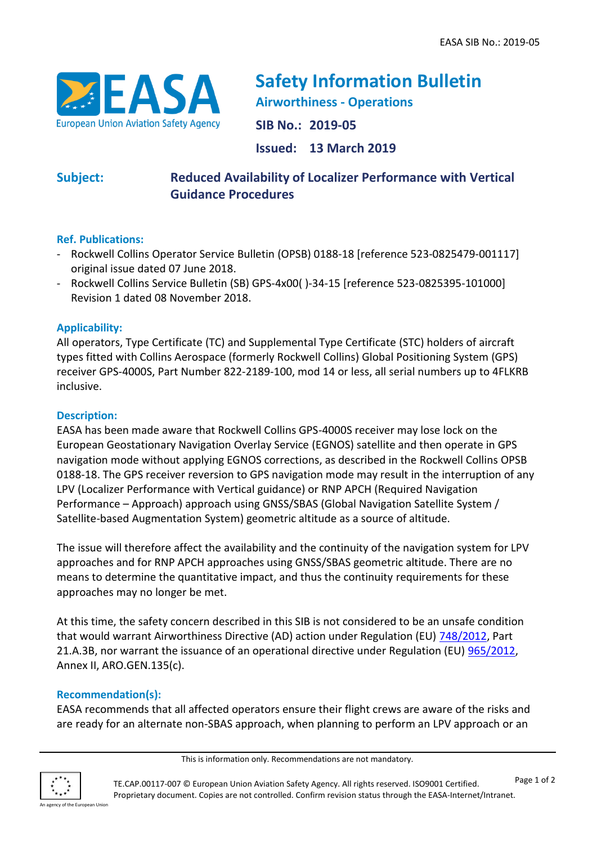

**Safety Information Bulletin Airworthiness - Operations SIB No.: 2019-05 Issued: 13 March 2019**

# **Subject: Reduced Availability of Localizer Performance with Vertical Guidance Procedures**

## **Ref. Publications:**

- Rockwell Collins Operator Service Bulletin (OPSB) 0188-18 [reference 523-0825479-001117] original issue dated 07 June 2018.
- Rockwell Collins Service Bulletin (SB) GPS-4x00( )-34-15 [reference 523-0825395-101000] Revision 1 dated 08 November 2018.

#### **Applicability:**

All operators, Type Certificate (TC) and Supplemental Type Certificate (STC) holders of aircraft types fitted with Collins Aerospace (formerly Rockwell Collins) Global Positioning System (GPS) receiver GPS-4000S, Part Number 822-2189-100, mod 14 or less, all serial numbers up to 4FLKRB inclusive.

#### **Description:**

EASA has been made aware that Rockwell Collins GPS-4000S receiver may lose lock on the European Geostationary Navigation Overlay Service (EGNOS) satellite and then operate in GPS navigation mode without applying EGNOS corrections, as described in the Rockwell Collins OPSB 0188-18. The GPS receiver reversion to GPS navigation mode may result in the interruption of any LPV (Localizer Performance with Vertical guidance) or RNP APCH (Required Navigation Performance – Approach) approach using GNSS/SBAS (Global Navigation Satellite System / Satellite-based Augmentation System) geometric altitude as a source of altitude.

The issue will therefore affect the availability and the continuity of the navigation system for LPV approaches and for RNP APCH approaches using GNSS/SBAS geometric altitude. There are no means to determine the quantitative impact, and thus the continuity requirements for these approaches may no longer be met.

At this time, the safety concern described in this SIB is not considered to be an unsafe condition that would warrant Airworthiness Directive (AD) action under Regulation (EU) [748/2012,](https://eur-lex.europa.eu/LexUriServ/LexUriServ.do?uri=OJ:L:2012:224:0001:0085:EN:PDF) Part 21.A.3B, nor warrant the issuance of an operational directive under Regulation (EU) [965/2012,](https://eur-lex.europa.eu/LexUriServ/LexUriServ.do?uri=OJ:L:2012:296:0001:0148:EN:PDF) Annex II, ARO.GEN.135(c).

#### **Recommendation(s):**

EASA recommends that all affected operators ensure their flight crews are aware of the risks and are ready for an alternate non-SBAS approach, when planning to perform an LPV approach or an